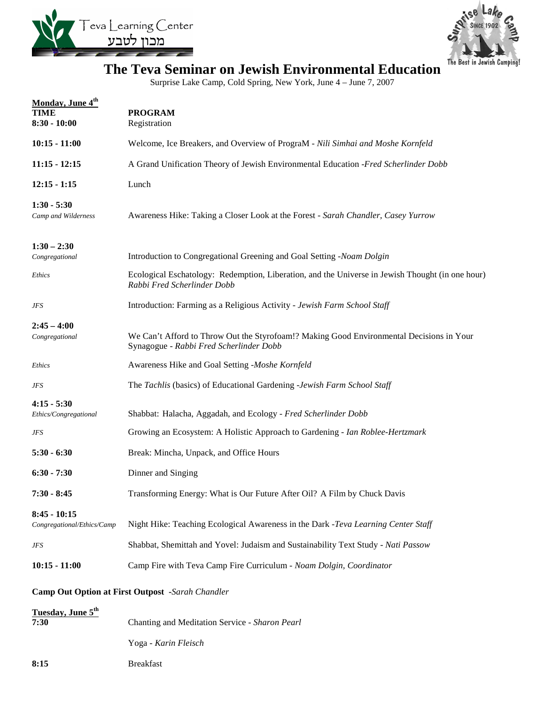



## **The Teva Seminar on Jewish Environmental Education**

Surprise Lake Camp, Cold Spring, New York, June 4 – June 7, 2007

| Monday, June 4th<br><b>TIME</b><br>$8:30 - 10:00$       | <b>PROGRAM</b><br>Registration                                                                                                      |  |
|---------------------------------------------------------|-------------------------------------------------------------------------------------------------------------------------------------|--|
| $10:15 - 11:00$                                         | Welcome, Ice Breakers, and Overview of PrograM - Nili Simhai and Moshe Kornfeld                                                     |  |
| $11:15 - 12:15$                                         | A Grand Unification Theory of Jewish Environmental Education -Fred Scherlinder Dobb                                                 |  |
| $12:15 - 1:15$                                          | Lunch                                                                                                                               |  |
| $1:30 - 5:30$<br>Camp and Wilderness                    | Awareness Hike: Taking a Closer Look at the Forest - Sarah Chandler, Casey Yurrow                                                   |  |
| $1:30 - 2:30$<br>Congregational                         | Introduction to Congregational Greening and Goal Setting -Noam Dolgin                                                               |  |
| Ethics                                                  | Ecological Eschatology: Redemption, Liberation, and the Universe in Jewish Thought (in one hour)<br>Rabbi Fred Scherlinder Dobb     |  |
| JFS                                                     | Introduction: Farming as a Religious Activity - Jewish Farm School Staff                                                            |  |
| $2:45 - 4:00$<br>Congregational                         | We Can't Afford to Throw Out the Styrofoam!? Making Good Environmental Decisions in Your<br>Synagogue - Rabbi Fred Scherlinder Dobb |  |
| Ethics                                                  | Awareness Hike and Goal Setting -Moshe Kornfeld                                                                                     |  |
| JFS                                                     | The Tachlis (basics) of Educational Gardening -Jewish Farm School Staff                                                             |  |
| $4:15 - 5:30$<br>Ethics/Congregational                  | Shabbat: Halacha, Aggadah, and Ecology - Fred Scherlinder Dobb                                                                      |  |
| JFS                                                     | Growing an Ecosystem: A Holistic Approach to Gardening - Ian Roblee-Hertzmark                                                       |  |
| $5:30 - 6:30$                                           | Break: Mincha, Unpack, and Office Hours                                                                                             |  |
| $6:30 - 7:30$                                           | Dinner and Singing                                                                                                                  |  |
| $7:30 - 8:45$                                           | Transforming Energy: What is Our Future After Oil? A Film by Chuck Davis                                                            |  |
| $8:45 - 10:15$<br>Congregational/Ethics/Camp            | Night Hike: Teaching Ecological Awareness in the Dark -Teva Learning Center Staff                                                   |  |
| <b>JFS</b>                                              | Shabbat, Shemittah and Yovel: Judaism and Sustainability Text Study - Nati Passow                                                   |  |
| $10:15 - 11:00$                                         | Camp Fire with Teva Camp Fire Curriculum - Noam Dolgin, Coordinator                                                                 |  |
| <b>Camp Out Option at First Outpost -Sarah Chandler</b> |                                                                                                                                     |  |
| Tuesday, June 5th<br>7:30                               | Chanting and Meditation Service - Sharon Pearl                                                                                      |  |

- Yoga *Karin Fleisch*
- **8:15** Breakfast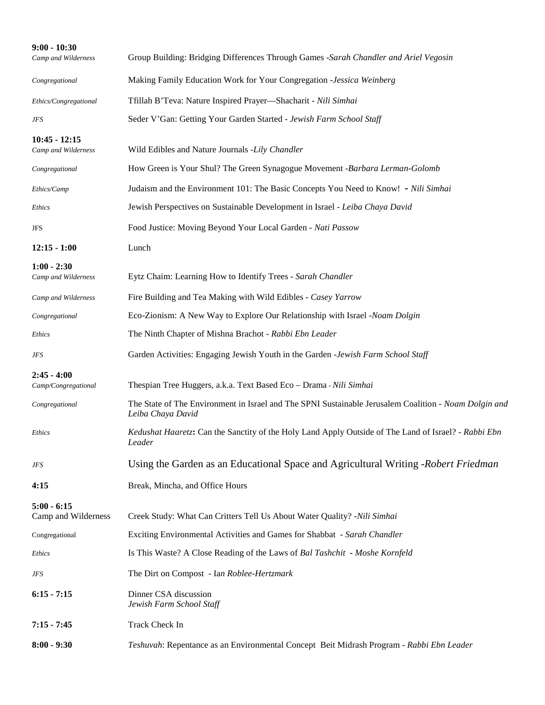| $9:00 - 10:30$<br>Camp and Wilderness  | Group Building: Bridging Differences Through Games -Sarah Chandler and Ariel Vegosin                                       |
|----------------------------------------|----------------------------------------------------------------------------------------------------------------------------|
| Congregational                         | Making Family Education Work for Your Congregation -Jessica Weinberg                                                       |
| Ethics/Congregational                  | Tfillah B'Teva: Nature Inspired Prayer-Shacharit - Nili Simhai                                                             |
| JFS                                    | Seder V'Gan: Getting Your Garden Started - Jewish Farm School Staff                                                        |
| $10:45 - 12:15$<br>Camp and Wilderness | Wild Edibles and Nature Journals -Lily Chandler                                                                            |
| Congregational                         | How Green is Your Shul? The Green Synagogue Movement -Barbara Lerman-Golomb                                                |
| Ethics/Camp                            | Judaism and the Environment 101: The Basic Concepts You Need to Know! - Nili Simhai                                        |
| Ethics                                 | Jewish Perspectives on Sustainable Development in Israel - Leiba Chaya David                                               |
| JFS                                    | Food Justice: Moving Beyond Your Local Garden - Nati Passow                                                                |
| $12:15 - 1:00$                         | Lunch                                                                                                                      |
| $1:00 - 2:30$<br>Camp and Wilderness   | Eytz Chaim: Learning How to Identify Trees - Sarah Chandler                                                                |
| Camp and Wilderness                    | Fire Building and Tea Making with Wild Edibles - Casey Yarrow                                                              |
| Congregational                         | Eco-Zionism: A New Way to Explore Our Relationship with Israel -Noam Dolgin                                                |
| Ethics                                 | The Ninth Chapter of Mishna Brachot - Rabbi Ebn Leader                                                                     |
| JFS                                    | Garden Activities: Engaging Jewish Youth in the Garden -Jewish Farm School Staff                                           |
| $2:45 - 4:00$<br>Camp/Congregational   | Thespian Tree Huggers, a.k.a. Text Based Eco - Drama - Nili Simhai                                                         |
| Congregational                         | The State of The Environment in Israel and The SPNI Sustainable Jerusalem Coalition - Noam Dolgin and<br>Leiba Chaya David |
| <i>Ethics</i>                          | Kedushat Haaretz: Can the Sanctity of the Holy Land Apply Outside of The Land of Israel? - Rabbi Ebn<br>Leader             |
| JFS                                    | Using the Garden as an Educational Space and Agricultural Writing - Robert Friedman                                        |
| 4:15                                   | Break, Mincha, and Office Hours                                                                                            |
| $5:00 - 6:15$<br>Camp and Wilderness   | Creek Study: What Can Critters Tell Us About Water Quality? -Nili Simhai                                                   |
| Congregational                         | Exciting Environmental Activities and Games for Shabbat - Sarah Chandler                                                   |
| Ethics                                 | Is This Waste? A Close Reading of the Laws of Bal Tashchit - Moshe Kornfeld                                                |
| JFS                                    | The Dirt on Compost - Ian Roblee-Hertzmark                                                                                 |
| $6:15 - 7:15$                          | Dinner CSA discussion<br>Jewish Farm School Staff                                                                          |
| $7:15 - 7:45$                          | Track Check In                                                                                                             |
| $8:00 - 9:30$                          | Teshuvah: Repentance as an Environmental Concept Beit Midrash Program - Rabbi Ebn Leader                                   |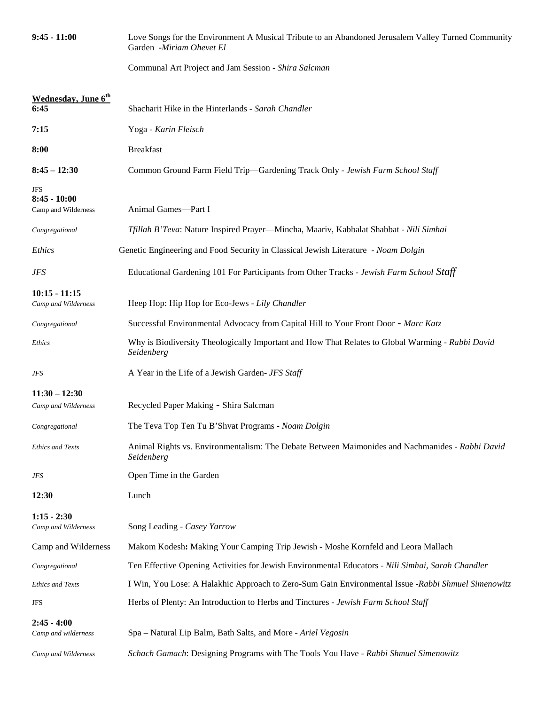| $9:45 - 11:00$                               | Love Songs for the Environment A Musical Tribute to an Abandoned Jerusalem Valley Turned Community<br>Garden -Miriam Ohevet El |
|----------------------------------------------|--------------------------------------------------------------------------------------------------------------------------------|
|                                              | Communal Art Project and Jam Session - Shira Salcman                                                                           |
| Wednesday, June 6 <sup>th</sup><br>6:45      | Shacharit Hike in the Hinterlands - Sarah Chandler                                                                             |
| 7:15                                         | Yoga - Karin Fleisch                                                                                                           |
| 8:00                                         | <b>Breakfast</b>                                                                                                               |
| $8:45 - 12:30$                               | Common Ground Farm Field Trip—Gardening Track Only - Jewish Farm School Staff                                                  |
| JFS<br>$8:45 - 10:00$<br>Camp and Wilderness | Animal Games-Part I                                                                                                            |
| Congregational                               | Tfillah B'Teva: Nature Inspired Prayer—Mincha, Maariv, Kabbalat Shabbat - Nili Simhai                                          |
| <i>Ethics</i>                                | Genetic Engineering and Food Security in Classical Jewish Literature - Noam Dolgin                                             |
| <b>JFS</b>                                   | Educational Gardening 101 For Participants from Other Tracks - Jewish Farm School Staff                                        |
| $10:15 - 11:15$<br>Camp and Wilderness       | Heep Hop: Hip Hop for Eco-Jews - Lily Chandler                                                                                 |
| Congregational                               | Successful Environmental Advocacy from Capital Hill to Your Front Door - Marc Katz                                             |
| <i>Ethics</i>                                | Why is Biodiversity Theologically Important and How That Relates to Global Warming - Rabbi David<br>Seidenberg                 |
| JFS                                          | A Year in the Life of a Jewish Garden- JFS Staff                                                                               |
| $11:30 - 12:30$<br>Camp and Wilderness       | Recycled Paper Making - Shira Salcman                                                                                          |
| Congregational                               | The Teva Top Ten Tu B'Shvat Programs - Noam Dolgin                                                                             |
| <b>Ethics and Texts</b>                      | Animal Rights vs. Environmentalism: The Debate Between Maimonides and Nachmanides - Rabbi David<br>Seidenberg                  |
| JFS                                          | Open Time in the Garden                                                                                                        |
| 12:30                                        | Lunch                                                                                                                          |
| $1:15 - 2:30$<br>Camp and Wilderness         | Song Leading - Casey Yarrow                                                                                                    |
| Camp and Wilderness                          | Makom Kodesh: Making Your Camping Trip Jewish - Moshe Kornfeld and Leora Mallach                                               |
| Congregational                               | Ten Effective Opening Activities for Jewish Environmental Educators - Nili Simhai, Sarah Chandler                              |
| <b>Ethics and Texts</b>                      | I Win, You Lose: A Halakhic Approach to Zero-Sum Gain Environmental Issue -Rabbi Shmuel Simenowitz                             |
| JFS                                          | Herbs of Plenty: An Introduction to Herbs and Tinctures - Jewish Farm School Staff                                             |
| $2:45 - 4:00$<br>Camp and wilderness         | Spa - Natural Lip Balm, Bath Salts, and More - Ariel Vegosin                                                                   |
| Camp and Wilderness                          | Schach Gamach: Designing Programs with The Tools You Have - Rabbi Shmuel Simenowitz                                            |